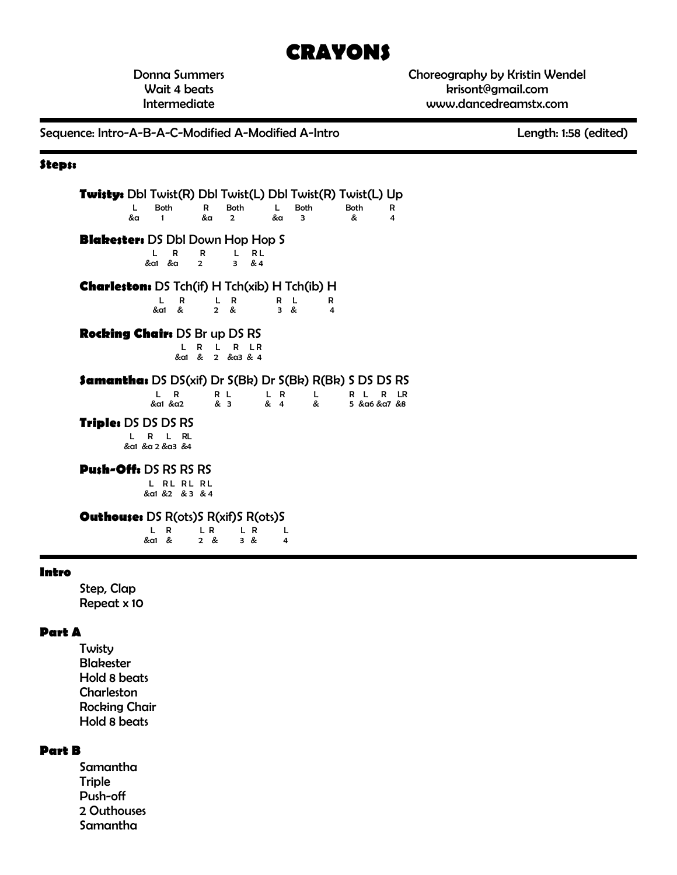# **CRAYONS**

Donna Summers Wait 4 beats Intermediate

Choreography by Kristin Wendel krisont@gmail.com www.dancedreamstx.com

Sequence: Intro-A-B-A-C-Modified A-Modified A-Intro Length: 1:58 (edited)

#### **Steps:**

**Twisty:** Dbl Twist(R) Dbl Twist(L) Dbl Twist(R) Twist(L) Up L Both R Both L Both Both R &a 1 &a 2 &a 3 & 4 **Blakester:** DS Dbl Down Hop Hop S<br>LRR LRL<br>& & 2 3 & 4 L R R L RL  $\frac{2}{3}$  &  $\frac{2}{3}$  &  $\frac{2}{4}$ **Charleston:** DS Tch(if) H Tch(xib) H Tch(ib) H L R L R R L R &a1 & 2 & 3 & 4 **Rocking Chair:** DS Br up DS RS L R L R LR &a1 & 2 &a3 & 4 **Samantha:** DS DS(xif) Dr S(Bk) Dr S(Bk) R(Bk) S DS DS RS L R R L L R L R L R LR 5 & a6 & a7 & 8 **Triple:** DS DS DS RS L R L RL &a1 &a 2 &a3 &4 **Push-Off:** DS RS RS RS L RL RL RL &a1 &2 & 3 & 4 **Outhouse:** DS R(ots)S R(xif)S R(ots)S L R L R L R L<br>&a1 & 2 & 3 & 4 &a1 & 2 & 3 & 4 **Intro**

Step, Clap Repeat x 10

#### **Part A**

Twisty Blakester Hold 8 beats Charleston Rocking Chair Hold 8 beats

#### **Part B**

Samantha **Triple** Push-off 2 Outhouses Samantha